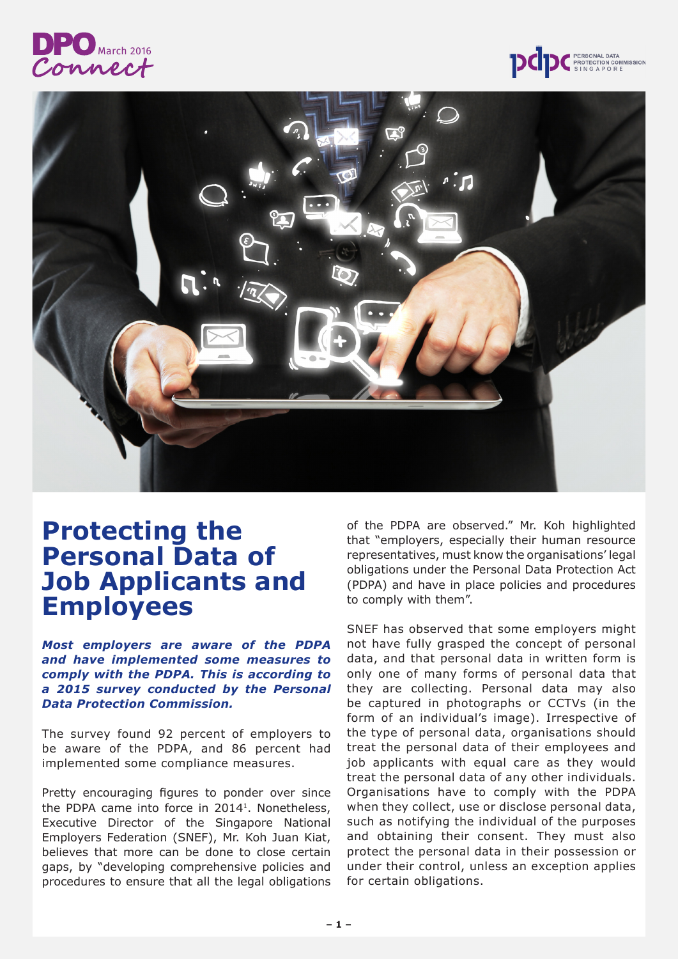





# **Protecting the Personal Data of Job Applicants and Employees**

*Most employers are aware of the PDPA and have implemented some measures to comply with the PDPA. This is according to a 2015 survey conducted by the Personal Data Protection Commission.*

The survey found 92 percent of employers to be aware of the PDPA, and 86 percent had implemented some compliance measures.

Pretty encouraging figures to ponder over since the PDPA came into force in 20141. Nonetheless, Executive Director of the Singapore National Employers Federation (SNEF), Mr. Koh Juan Kiat, believes that more can be done to close certain gaps, by "developing comprehensive policies and procedures to ensure that all the legal obligations of the PDPA are observed." Mr. Koh highlighted that "employers, especially their human resource representatives, must know the organisations' legal obligations under the Personal Data Protection Act (PDPA) and have in place policies and procedures to comply with them".

SNEF has observed that some employers might not have fully grasped the concept of personal data, and that personal data in written form is only one of many forms of personal data that they are collecting. Personal data may also be captured in photographs or CCTVs (in the form of an individual's image). Irrespective of the type of personal data, organisations should treat the personal data of their employees and job applicants with equal care as they would treat the personal data of any other individuals. Organisations have to comply with the PDPA when they collect, use or disclose personal data, such as notifying the individual of the purposes and obtaining their consent. They must also protect the personal data in their possession or under their control, unless an exception applies for certain obligations.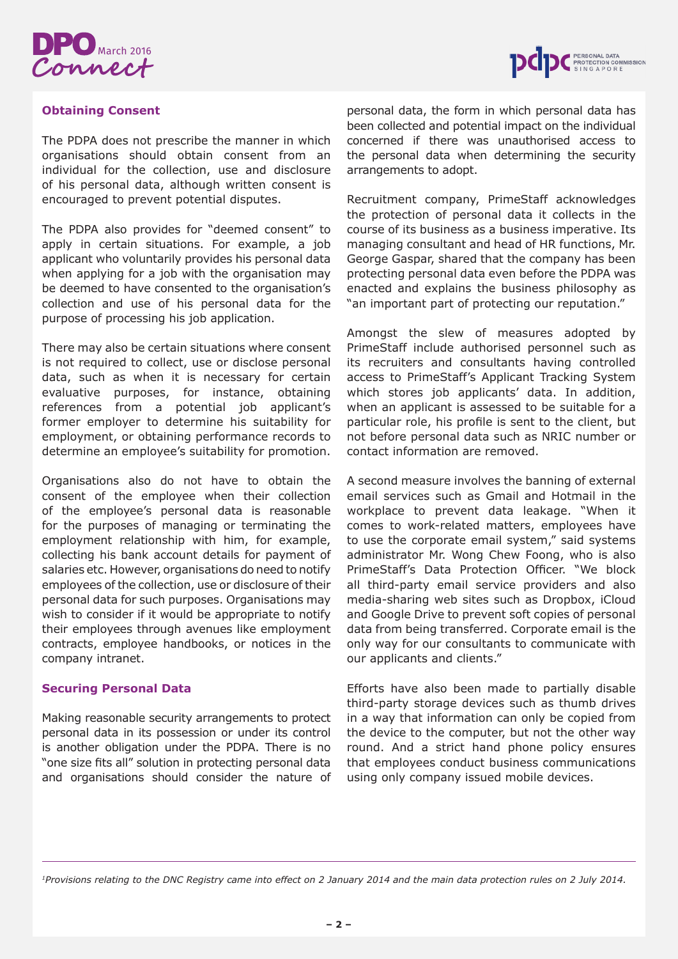



## **Obtaining Consent**

The PDPA does not prescribe the manner in which organisations should obtain consent from an individual for the collection, use and disclosure of his personal data, although written consent is encouraged to prevent potential disputes.

The PDPA also provides for "deemed consent" to apply in certain situations. For example, a job applicant who voluntarily provides his personal data when applying for a job with the organisation may be deemed to have consented to the organisation's collection and use of his personal data for the purpose of processing his job application.

There may also be certain situations where consent is not required to collect, use or disclose personal data, such as when it is necessary for certain evaluative purposes, for instance, obtaining references from a potential job applicant's former employer to determine his suitability for employment, or obtaining performance records to determine an employee's suitability for promotion.

Organisations also do not have to obtain the consent of the employee when their collection of the employee's personal data is reasonable for the purposes of managing or terminating the employment relationship with him, for example, collecting his bank account details for payment of salaries etc. However, organisations do need to notify employees of the collection, use or disclosure of their personal data for such purposes. Organisations may wish to consider if it would be appropriate to notify their employees through avenues like employment contracts, employee handbooks, or notices in the company intranet.

#### **Securing Personal Data**

Making reasonable security arrangements to protect personal data in its possession or under its control is another obligation under the PDPA. There is no "one size fits all" solution in protecting personal data and organisations should consider the nature of personal data, the form in which personal data has been collected and potential impact on the individual concerned if there was unauthorised access to the personal data when determining the security arrangements to adopt.

Recruitment company, PrimeStaff acknowledges the protection of personal data it collects in the course of its business as a business imperative. Its managing consultant and head of HR functions, Mr. George Gaspar, shared that the company has been protecting personal data even before the PDPA was enacted and explains the business philosophy as "an important part of protecting our reputation."

Amongst the slew of measures adopted by PrimeStaff include authorised personnel such as its recruiters and consultants having controlled access to PrimeStaff's Applicant Tracking System which stores job applicants' data. In addition, when an applicant is assessed to be suitable for a particular role, his profile is sent to the client, but not before personal data such as NRIC number or contact information are removed.

A second measure involves the banning of external email services such as Gmail and Hotmail in the workplace to prevent data leakage. "When it comes to work-related matters, employees have to use the corporate email system," said systems administrator Mr. Wong Chew Foong, who is also PrimeStaff's Data Protection Officer. "We block all third-party email service providers and also media-sharing web sites such as Dropbox, iCloud and Google Drive to prevent soft copies of personal data from being transferred. Corporate email is the only way for our consultants to communicate with our applicants and clients."

Efforts have also been made to partially disable third-party storage devices such as thumb drives in a way that information can only be copied from the device to the computer, but not the other way round. And a strict hand phone policy ensures that employees conduct business communications using only company issued mobile devices.

*1Provisions relating to the DNC Registry came into effect on 2 January 2014 and the main data protection rules on 2 July 2014.*